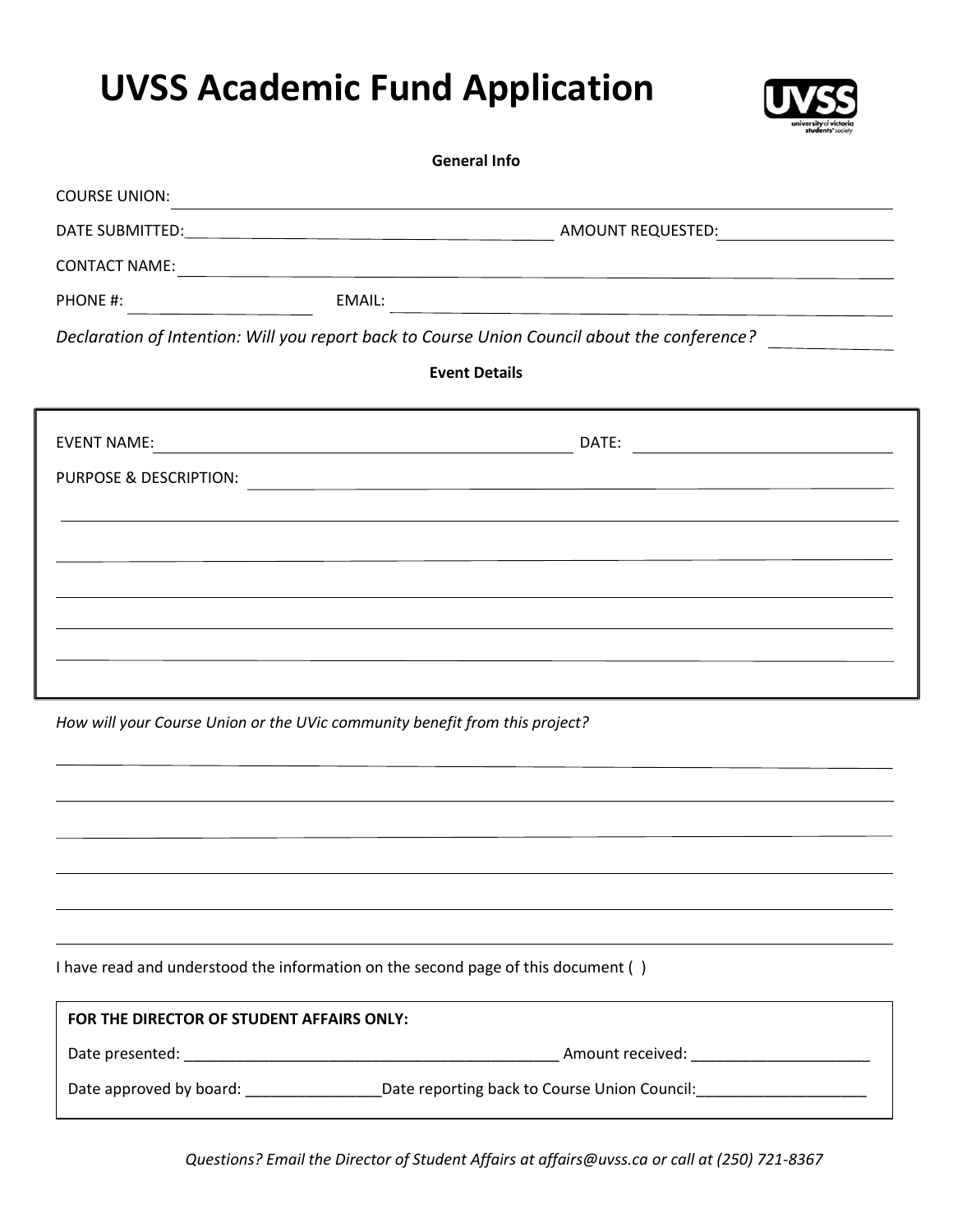## **UVSS Academic Fund Application**



| <b>General Info</b>                       |                                                                                                                       |  |  |
|-------------------------------------------|-----------------------------------------------------------------------------------------------------------------------|--|--|
| <b>COURSE UNION:</b>                      | <u> 1989 - Johann Barn, fransk politik (d. 1989)</u>                                                                  |  |  |
|                                           |                                                                                                                       |  |  |
| <b>CONTACT NAME:</b>                      | <u> 1989 - Johann Stein, marwolaethau a bhann an chomhair an chomhair an chomhair an chomhair an chomhair an cho</u>  |  |  |
| PHONE #:                                  |                                                                                                                       |  |  |
|                                           | Declaration of Intention: Will you report back to Course Union Council about the conference?                          |  |  |
|                                           | <b>Event Details</b>                                                                                                  |  |  |
|                                           | DATE:<br><u> 1989 - Johann Stone, mars et al. (</u>                                                                   |  |  |
| PURPOSE & DESCRIPTION:                    | <u> 1989 - Johann Stoff, deutscher Stoff, der Stoff, der Stoff, der Stoff, der Stoff, der Stoff, der Stoff, der S</u> |  |  |
|                                           |                                                                                                                       |  |  |
|                                           |                                                                                                                       |  |  |
|                                           |                                                                                                                       |  |  |
|                                           |                                                                                                                       |  |  |
|                                           |                                                                                                                       |  |  |
|                                           | How will your Course Union or the UVic community benefit from this project?                                           |  |  |
|                                           |                                                                                                                       |  |  |
|                                           |                                                                                                                       |  |  |
|                                           |                                                                                                                       |  |  |
|                                           |                                                                                                                       |  |  |
|                                           | I have read and understood the information on the second page of this document ()                                     |  |  |
| FOR THE DIRECTOR OF STUDENT AFFAIRS ONLY: |                                                                                                                       |  |  |
|                                           |                                                                                                                       |  |  |
|                                           | Date approved by board: _____________________Date reporting back to Course Union Council: ____________________        |  |  |
|                                           |                                                                                                                       |  |  |

*Questions? Email the Director of Student Affairs at affairs@uvss.ca or call at (250) 721-8367*